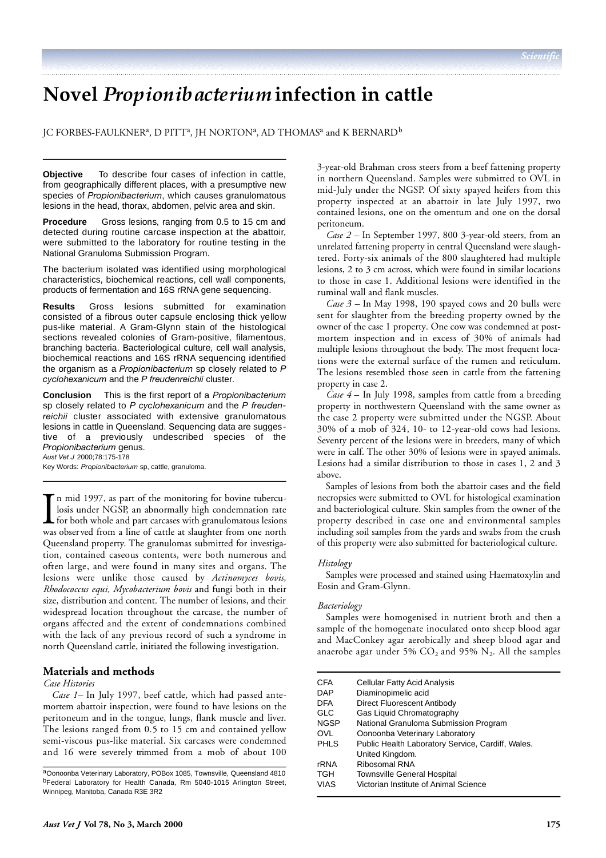# **Novel** *Propionibacterium***infection in cattle**

JC FORBES-FAULKNER<sup>a</sup>, D PITT<sup>a</sup>, JH NORTON<sup>a</sup>, AD THOMAS<sup>a</sup> and K BERNARD<sup>b</sup>

**Objective** To describe four cases of infection in cattle, from geographically different places, with a presumptive new species of *Propionibacterium*, which causes granulomatous lesions in the head, thorax, abdomen, pelvic area and skin.

**Procedure** Gross lesions, ranging from 0.5 to 15 cm and detected during routine carcase inspection at the abattoir, were submitted to the laboratory for routine testing in the National Granuloma Submission Program.

The bacterium isolated was identified using morphological characteristics, biochemical reactions, cell wall components, products of fermentation and 16S rRNA gene sequencing.

**Results** Gross lesions submitted for examination consisted of a fibrous outer capsule enclosing thick yellow pus-like material. A Gram-Glynn stain of the histological sections revealed colonies of Gram-positive, filamentous, branching bacteria. Bacteriological culture, cell wall analysis, biochemical reactions and 16S rRNA sequencing identified the organism as a *Propionibacterium* sp closely related to P *cyclohexanicum* and the *P freudenreichii* cluster.

**Conclusion** This is the first report of a *Propionibacterium* sp closely related to P cyclohexanicum and the P freudenreichii cluster associated with extensive granulomatous lesions in cattle in Queensland. Sequencing data are suggestive of a previously undescribed species of the *Propionibacterium* genus.

*Aust Vet J* 2000;78:175-178 Key Words: *Propionibacterium* sp, cattle, granuloma.

In mid 1997, as part of the monitoring for bovine tuberculosis under NGSP, an abnormally high condemnation rate for both whole and part carcases with granulomatous lesions was observed from a line of cattle at slaughter fr n mid 1997, as part of the monitoring for bovine tuberculosis under NGSP, an abnormally high condemnation rate for both whole and part carcases with granulomatous lesions Queensland property. The granulomas submitted for investigation, contained caseous contents, were both numerous and often large, and were found in many sites and organs. The lesions were unlike those caused by *Actinomyces bovis*, *Rhodococcus equi, Mycobacterium bovis* and fungi both in their size, distribution and content. The number of lesions, and their widespread location throughout the carcase, the number of organs affected and the extent of condemnations combined with the lack of any previous record of such a syndrome in north Queensland cattle, initiated the following investigation.

# **Materials and methods**

#### *Case Histories*

*Case 1–* In July 1997, beef cattle, which had passed antemortem abattoir inspection, were found to have lesions on the peritoneum and in the tongue, lungs, flank muscle and liver. The lesions ranged from 0.5 to 15 cm and contained yellow semi-viscous pus-like material. Six carcases were condemned and 16 were severely trimmed from a mob of about 100 in northern Queensland. Samples were submitted to OVL in mid-July under the NGSP. Of sixty spayed heifers from this property inspected at an abattoir in late July 1997, two contained lesions, one on the omentum and one on the dorsal peritoneum.

3-year-old Brahman cross steers from a beef fattening property

*Case 2 –* In September 1997, 800 3-year-old steers, from an unrelated fattening property in central Queensland were slaughtered. Forty-six animals of the 800 slaughtered had multiple lesions, 2 to 3 cm across, which were found in similar locations to those in case 1. Additional lesions were identified in the ruminal wall and flank muscles.

*Case 3* – In May 1998, 190 spayed cows and 20 bulls were sent for slaughter from the breeding property owned by the owner of the case 1 property. One cow was condemned at postmortem inspection and in excess of 30% of animals had multiple lesions throughout the body. The most frequent locations were the external surface of the rumen and reticulum. The lesions resembled those seen in cattle from the fattening property in case 2.

*Case 4* – In July 1998, samples from cattle from a breeding property in northwestern Queensland with the same owner as the case 2 property were submitted under the NGSP. About 30% of a mob of 324, 10- to 12-year-old cows had lesions. Seventy percent of the lesions were in breeders, many of which were in calf. The other 30% of lesions were in spayed animals. Lesions had a similar distribution to those in cases 1, 2 and 3 above.

Samples of lesions from both the abattoir cases and the field necropsies were submitted to OVL for histological examination and bacteriological culture. Skin samples from the owner of the property described in case one and environmental samples including soil samples from the yards and swabs from the crush of this property were also submitted for bacteriological culture.

#### *Histology*

Samples were processed and stained using Haematoxylin and Eosin and Gram-Glynn.

## *Bacteriology*

Samples were homogenised in nutrient broth and then a sample of the homogenate inoculated onto sheep blood agar and MacConkey agar aerobically and sheep blood agar and anaerobe agar under 5% CO<sub>2</sub> and 95%  $\mathrm{N}_2$ . All the samples

| <b>CFA</b>  | Cellular Fatty Acid Analysis                      |
|-------------|---------------------------------------------------|
| <b>DAP</b>  | Diaminopimelic acid                               |
| <b>DFA</b>  | Direct Fluorescent Antibody                       |
| GLC         | Gas Liquid Chromatography                         |
| <b>NGSP</b> | National Granuloma Submission Program             |
| OVI         | Oonoonba Veterinary Laboratory                    |
| PHLS        | Public Health Laboratory Service, Cardiff, Wales. |
|             | United Kingdom.                                   |
| rRNA        | Ribosomal RNA                                     |
| TGH         | <b>Townsville General Hospital</b>                |
| VIAS        | Victorian Institute of Animal Science             |
|             |                                                   |

<sup>a</sup>Oonoonba Veterinary Laboratory, POBox 1085, Townsville, Queensland 4810 <sup>b</sup>Federal Laboratory for Health Canada, Rm 5040-1015 Arlington Street, Winnipeg, Manitoba, Canada R3E 3R2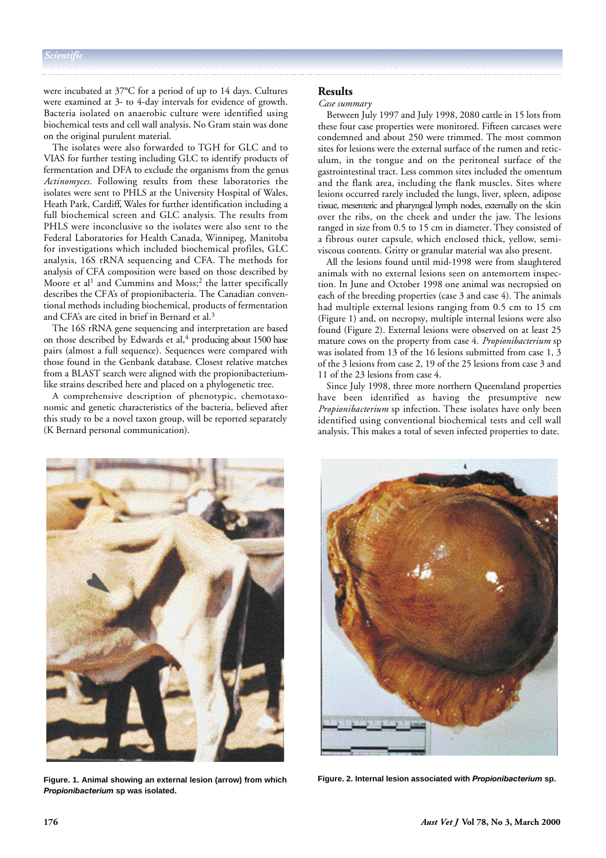were incubated at 37°C for a period of up to 14 days. Cultures were examined at 3- to 4-day intervals for evidence of growth. Bacteria isolated on anaerobic culture were identified using biochemical tests and cell wall analysis. No Gram stain was done on the original purulent material.

The isolates were also forwarded to TGH for GLC and to VIAS for further testing including GLC to identify products of fermentation and DFA to exclude the organisms from the genus Actinomyces. Following results from these laboratories the isolates were sent to PHLS at the University Hospital of Wales, Heath Park, Cardiff, Wales for further identification including a full biochemical screen and GLC analysis. The results from PHLS were inconclusive so the isolates were also sent to the Federal Laboratories for Health Canada, Winnipeg, Manitoba for investigations which included biochemical profiles, GLC analysis, 16S rRNA sequencing and CFA. The methods for analysis of CFA composition were based on those described by Moore et al<sup>1</sup> and Cummins and Moss;<sup>2</sup> the latter specifically describes the CFA's of propionibacteria. The Canadian conventional methods including biochemical, products of fermentation and CFA's are cited in brief in Bernard et al.<sup>3</sup>

The 16S rRNA gene sequencing and interpretation are based on those described by Edwards et al,<sup>4</sup> producing about 1500 base pairs (almost a full sequence). Sequences were compared with those found in the Genbank database. Closest relative matches from a BLAST search were aligned with the propionibacteriumlike strains described here and placed on a phylogenetic tree.

A comprehensive description of phenotypic, chemotaxonomic and genetic characteristics of the bacteria, believed after this study to be a novel taxon group, will be reported separately (K Bernard personal communication).

## **Results**

#### *Case summary*

Between July 1997 and July 1998, 2080 cattle in 15 lots from these four case properties were monitored. Fifteen carcases were condemned and about 250 were trimmed. The most common sites for lesions were the external surface of the rumen and reticulum, in the tongue and on the peritoneal surface of the gastrointestinal tract. Less common sites included the omentum and the flank area, including the flank muscles. Sites where lesions occurred rarely included the lungs, liver, spleen, adipose tissue, mesenteric and pharyngeal lymph nodes, externally on the skin over the ribs, on the cheek and under the jaw. The lesions ranged in size from 0.5 to 15 cm in diameter. They consisted of a fibrous outer capsule, which enclosed thick, yellow, semiviscous contents. Gritty or granular material was also present.

All the lesions found until mid-1998 were from slaughtered animals with no external lesions seen on antemortem inspection. In June and October 1998 one animal was necropsied on each of the breeding properties (case 3 and case 4). The animals had multiple external lesions ranging from 0.5 cm to 15 cm (Figure 1) and, on necropsy, multiple internal lesions were also found (Figure 2). External lesions were observed on at least 25 mature cows on the property from case 4. *Propionibacterium* sp was isolated from 13 of the 16 lesions submitted from case 1, 3 of the 3 lesions from case 2, 19 of the 25 lesions from case 3 and 11 of the 23 lesions from case 4.

Since July 1998, three more northern Queensland properties have been identified as having the presumptive new *Propionibacterium* sp infection. These isolates have only been identified using conventional biochemical tests and cell wall analysis. This makes a total of seven infected properties to date.



**Figure. 1. Animal showing an external lesion (arrow) from which** *Propionibacterium* **sp was isolated.**



**Figure. 2. Internal lesion associated with** *Propionibacterium* **sp.**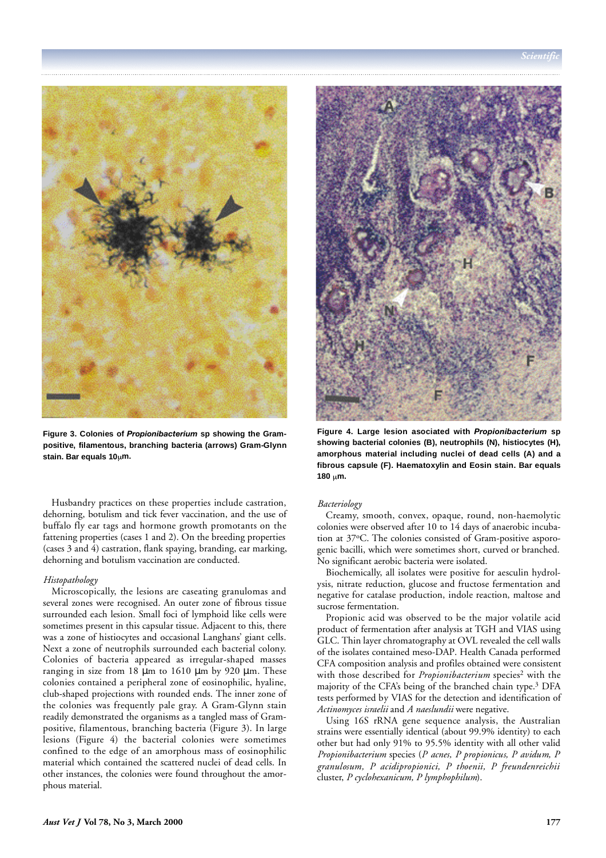

Figure 3. Colonies of *Propionibacterium* sp showing the Gram**positive, filamentous, branching bacteria (arrows) Gram-Glynn stain. Bar equals 10 m.**

Husbandry practices on these properties include castration, dehorning, botulism and tick fever vaccination, and the use of buffalo fly ear tags and hormone growth promotants on the fattening properties (cases 1 and 2). On the breeding properties (cases 3 and 4) castration, flank spaying, branding, ear marking, dehorning and botulism vaccination are conducted.

#### *Histopathology*

Microscopically, the lesions are caseating granulomas and several zones were recognised. An outer zone of fibrous tissue surrounded each lesion. Small foci of lymphoid like cells were sometimes present in this capsular tissue. Adjacent to this, there was a zone of histiocytes and occasional Langhans' giant cells. Next a zone of neutrophils surrounded each bacterial colony. Colonies of bacteria appeared as irregular-shaped masses ranging in size from 18  $\mu$ m to 1610  $\mu$ m by 920  $\mu$ m. These colonies contained a peripheral zone of eosinophilic, hyaline, club-shaped projections with rounded ends. The inner zone of the colonies was frequently pale gray. A Gram-Glynn stain readily demonstrated the organisms as a tangled mass of Grampositive, filamentous, branching bacteria (Figure 3). In large lesions (Figure 4) the bacterial colonies were sometimes confined to the edge of an amorphous mass of eosinophilic material which contained the scattered nuclei of dead cells. In other instances, the colonies were found throughout the amorphous material.



Figure 4. Large lesion asociated with *Propionibacterium* sp **showing bacterial colonies (B), neutrophils (N), histiocytes (H), amorphous material including nuclei of dead cells (A) and a fibrous capsule (F). Haematoxylin and Eosin stain. Bar equals** 180 um.

# *Bacteriology*

Creamy, smooth, convex, opaque, round, non-haemolytic colonies were observed after 10 to 14 days of anaerobic incubation at 37°C. The colonies consisted of Gram-positive asporogenic bacilli, which were sometimes short, curved or branched. No significant aerobic bacteria were isolated.

Biochemically, all isolates were positive for aesculin hydrolysis, nitrate reduction, glucose and fructose fermentation and negative for catalase production, indole reaction, maltose and sucrose fermentation.

Propionic acid was observed to be the major volatile acid product of fermentation after analysis at TGH and VIAS using GLC. Thin layer chromatography at OVL revealed the cell walls of the isolates contained meso-DAP. Health Canada performed CFA composition analysis and profiles obtained were consistent with those described for *Propionibacterium* species<sup>2</sup> with the majority of the CFA's being of the branched chain type.<sup>3</sup> DFA tests performed by VIAS for the detection and identification of *Actinomyces israelii* and *A naeslundii* were negative.

Using 16S rRNA gene sequence analysis, the Australian strains were essentially identical (about 99.9% identity) to each other but had only 91% to 95.5% identity with all other valid *Propionibacterium* species (*P acnes, P propionicus, P avidum, P* granulosum, P acidipropionici, P thoenii, P freundenreichii cluster, *P cyclohexanicum, P lymphophilum*).